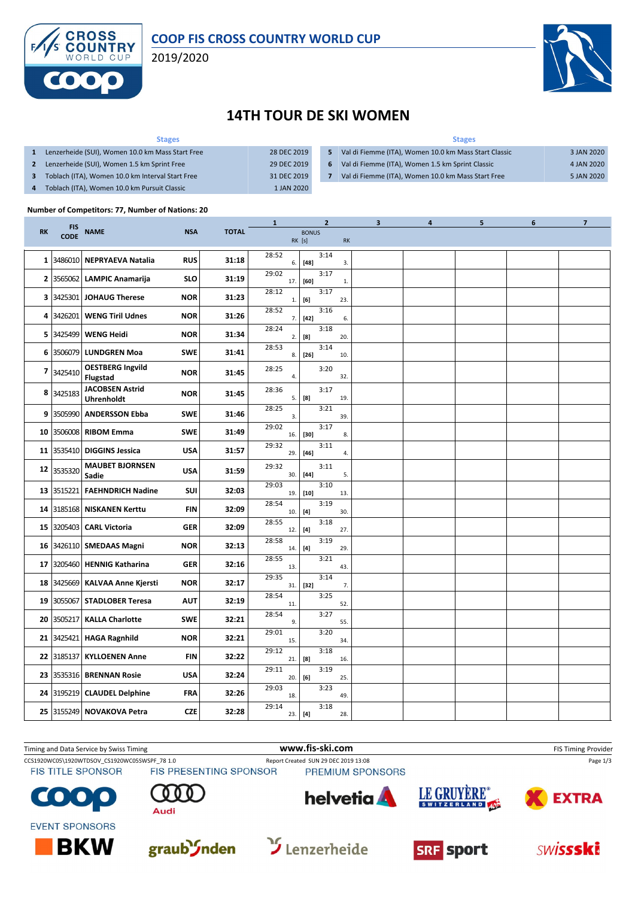

### **COOP FIS CROSS COUNTRY WORLD CUP**

2019/2020



## **14TH TOUR DE SKI WOMEN**

| <b>Stages</b>                                    |             | <b>Stages</b>  |                                                       |            |  |  |  |  |
|--------------------------------------------------|-------------|----------------|-------------------------------------------------------|------------|--|--|--|--|
| Lenzerheide (SUI), Women 10.0 km Mass Start Free | 28 DEC 2019 | 15.            | Val di Fiemme (ITA), Women 10.0 km Mass Start Classic | 3 JAN 2020 |  |  |  |  |
| Lenzerheide (SUI), Women 1.5 km Sprint Free      | 29 DEC 2019 | 6 <sup>1</sup> | Val di Fiemme (ITA), Women 1.5 km Sprint Classic      | 4 JAN 2020 |  |  |  |  |
| Toblach (ITA), Women 10.0 km Interval Start Free | 31 DEC 2019 |                | Val di Fiemme (ITA), Women 10.0 km Mass Start Free    | 5 JAN 2020 |  |  |  |  |
| Toblach (ITA), Women 10.0 km Pursuit Classic     | 1 JAN 2020  |                |                                                       |            |  |  |  |  |

#### **Number of Competitors: 77, Number of Nations: 20**

|              |                           |                                             |            |              | 1            | $\mathbf{2}$                                                                                                                                                                                                                                                                                                                                                                                                                                                                                                                                                                                                                                                                                                                                                                                                        |     | 3 | 4 | 5 | 6 | 7 |
|--------------|---------------------------|---------------------------------------------|------------|--------------|--------------|---------------------------------------------------------------------------------------------------------------------------------------------------------------------------------------------------------------------------------------------------------------------------------------------------------------------------------------------------------------------------------------------------------------------------------------------------------------------------------------------------------------------------------------------------------------------------------------------------------------------------------------------------------------------------------------------------------------------------------------------------------------------------------------------------------------------|-----|---|---|---|---|---|
| <b>RK</b>    | <b>FIS</b><br><b>CODE</b> | <b>NAME</b>                                 | <b>NSA</b> | <b>TOTAL</b> |              | <b>BONUS</b><br>RK [s]                                                                                                                                                                                                                                                                                                                                                                                                                                                                                                                                                                                                                                                                                                                                                                                              | RK  |   |   |   |   |   |
| $\mathbf{1}$ |                           | 3486010 NEPRYAEVA Natalia                   | <b>RUS</b> | 31:18        | 28:52<br>6.  | 3:14<br>$[48]$                                                                                                                                                                                                                                                                                                                                                                                                                                                                                                                                                                                                                                                                                                                                                                                                      | 3.  |   |   |   |   |   |
| 2            | 3565062                   | <b>LAMPIC Anamarija</b>                     | <b>SLO</b> | 31:19        | 29:02<br>17. | 3:17<br>[60]                                                                                                                                                                                                                                                                                                                                                                                                                                                                                                                                                                                                                                                                                                                                                                                                        | 1.  |   |   |   |   |   |
| 3            | 3425301                   | JOHAUG Therese                              | <b>NOR</b> | 31:23        | 28:12<br>1.  | 3:17<br>[6]                                                                                                                                                                                                                                                                                                                                                                                                                                                                                                                                                                                                                                                                                                                                                                                                         | 23. |   |   |   |   |   |
| 4            | 3426201                   | <b>WENG Tiril Udnes</b>                     | <b>NOR</b> | 31:26        | 28:52<br>7.  | 3:16<br>$[42]$                                                                                                                                                                                                                                                                                                                                                                                                                                                                                                                                                                                                                                                                                                                                                                                                      | 6.  |   |   |   |   |   |
| 5            | 3425499                   | <b>WENG Heidi</b>                           | <b>NOR</b> | 31:34        | 28:24<br>2.  | 3:18<br>[8]                                                                                                                                                                                                                                                                                                                                                                                                                                                                                                                                                                                                                                                                                                                                                                                                         | 20. |   |   |   |   |   |
| 6            | 3506079                   | <b>LUNDGREN Moa</b>                         | <b>SWE</b> | 31:41        | 28:53<br>8.  | 3:14<br>$[26]$                                                                                                                                                                                                                                                                                                                                                                                                                                                                                                                                                                                                                                                                                                                                                                                                      | 10. |   |   |   |   |   |
| 7            | 3425410                   | <b>OESTBERG Ingvild</b><br><b>Flugstad</b>  | <b>NOR</b> | 31:45        | 28:25<br>4.  | 3:20                                                                                                                                                                                                                                                                                                                                                                                                                                                                                                                                                                                                                                                                                                                                                                                                                | 32. |   |   |   |   |   |
| 8            | 3425183                   | <b>JACOBSEN Astrid</b><br><b>Uhrenholdt</b> | <b>NOR</b> | 31:45        | 28:36<br>5.  | 3:17<br>[8]                                                                                                                                                                                                                                                                                                                                                                                                                                                                                                                                                                                                                                                                                                                                                                                                         | 19. |   |   |   |   |   |
|              | 9 3505990                 | <b>ANDERSSON Ebba</b>                       | <b>SWE</b> | 31:46        | 28:25<br>3.  | 3:21                                                                                                                                                                                                                                                                                                                                                                                                                                                                                                                                                                                                                                                                                                                                                                                                                | 39. |   |   |   |   |   |
| 10           | 3506008                   | <b>RIBOM Emma</b>                           | <b>SWE</b> | 31:49        | 29:02<br>16. | 3:17<br>$[30]$                                                                                                                                                                                                                                                                                                                                                                                                                                                                                                                                                                                                                                                                                                                                                                                                      | 8.  |   |   |   |   |   |
| 11           | 3535410                   | <b>DIGGINS Jessica</b>                      | <b>USA</b> | 31:57        | 29:32<br>29. | 3:11<br>$[46]$                                                                                                                                                                                                                                                                                                                                                                                                                                                                                                                                                                                                                                                                                                                                                                                                      | 4.  |   |   |   |   |   |
| 12           | 3535320                   | <b>MAUBET BJORNSEN</b><br>Sadie             | <b>USA</b> | 31:59        | 29:32<br>30. | 3:11<br>$[44]$                                                                                                                                                                                                                                                                                                                                                                                                                                                                                                                                                                                                                                                                                                                                                                                                      | 5.  |   |   |   |   |   |
| 13           | 3515221                   | <b>FAEHNDRICH Nadine</b>                    | SUI        | 32:03        | 29:03<br>19. | 3:10<br>$[10]$                                                                                                                                                                                                                                                                                                                                                                                                                                                                                                                                                                                                                                                                                                                                                                                                      | 13. |   |   |   |   |   |
| 14           | 3185168                   | <b>NISKANEN Kerttu</b>                      | <b>FIN</b> | 32:09        | 28:54<br>10. | 3:19<br>$[4] \centering% \includegraphics[width=1.0\textwidth]{images/TransY.pdf} \caption{The first two different values of $g_I$ and $g_I$ are shown in the left (upper) and the right (lower) and the right (lower) and the right (lower) and the right (lower) and the right (lower) and the right (lower) and the right (lower) and the right (lower) and the right (lower) and the right (lower) and the right (lower) and the right (lower) and the right (lower) and the right (lower) and the right (lower) and the right (lower) and the right (lower) and the right (lower) and the right (lower) and the right (lower) and the right (lower) and the right (lower) and the right (lower) and the right (lower) and the right (lower) and the right (lower) and the right (lower) and the right (lower)$ | 30. |   |   |   |   |   |
| 15           | 3205403                   | <b>CARL Victoria</b>                        | <b>GER</b> | 32:09        | 28:55<br>12. | 3:18<br>[4]                                                                                                                                                                                                                                                                                                                                                                                                                                                                                                                                                                                                                                                                                                                                                                                                         | 27. |   |   |   |   |   |
| 16           |                           | 3426110 SMEDAAS Magni                       | <b>NOR</b> | 32:13        | 28:58<br>14. | 3:19<br>[4]                                                                                                                                                                                                                                                                                                                                                                                                                                                                                                                                                                                                                                                                                                                                                                                                         | 29. |   |   |   |   |   |
| 17           |                           | 3205460   HENNIG Katharina                  | <b>GER</b> | 32:16        | 28:55<br>13. | 3:21                                                                                                                                                                                                                                                                                                                                                                                                                                                                                                                                                                                                                                                                                                                                                                                                                | 43. |   |   |   |   |   |
| 18           |                           | 3425669 KALVAA Anne Kjersti                 | <b>NOR</b> | 32:17        | 29:35<br>31. | 3:14<br>$[32]$                                                                                                                                                                                                                                                                                                                                                                                                                                                                                                                                                                                                                                                                                                                                                                                                      | 7.  |   |   |   |   |   |
| 19           | 3055067                   | <b>STADLOBER Teresa</b>                     | <b>AUT</b> | 32:19        | 28:54<br>11. | 3:25                                                                                                                                                                                                                                                                                                                                                                                                                                                                                                                                                                                                                                                                                                                                                                                                                | 52. |   |   |   |   |   |
| 20           | 3505217                   | <b>KALLA Charlotte</b>                      | <b>SWE</b> | 32:21        | 28:54<br>9.  | 3:27                                                                                                                                                                                                                                                                                                                                                                                                                                                                                                                                                                                                                                                                                                                                                                                                                | 55. |   |   |   |   |   |
| 21           | 3425421                   | <b>HAGA Ragnhild</b>                        | <b>NOR</b> | 32:21        | 29:01<br>15. | 3:20                                                                                                                                                                                                                                                                                                                                                                                                                                                                                                                                                                                                                                                                                                                                                                                                                | 34. |   |   |   |   |   |
| 22           | 3185137                   | <b>KYLLOENEN Anne</b>                       | FIN        | 32:22        | 29:12<br>21. | 3:18<br>[8]                                                                                                                                                                                                                                                                                                                                                                                                                                                                                                                                                                                                                                                                                                                                                                                                         | 16. |   |   |   |   |   |
| 23           | 3535316                   | <b>BRENNAN Rosie</b>                        | <b>USA</b> | 32:24        | 29:11<br>20. | 3:19<br>[6]                                                                                                                                                                                                                                                                                                                                                                                                                                                                                                                                                                                                                                                                                                                                                                                                         | 25. |   |   |   |   |   |
| 24           | 3195219                   | <b>CLAUDEL Delphine</b>                     | <b>FRA</b> | 32:26        | 29:03<br>18. | 3:23                                                                                                                                                                                                                                                                                                                                                                                                                                                                                                                                                                                                                                                                                                                                                                                                                | 49. |   |   |   |   |   |
| 25           |                           | 3155249 NOVAKOVA Petra                      | <b>CZE</b> | 32:28        | 29:14<br>23. | 3:18<br>[4]                                                                                                                                                                                                                                                                                                                                                                                                                                                                                                                                                                                                                                                                                                                                                                                                         | 28. |   |   |   |   |   |

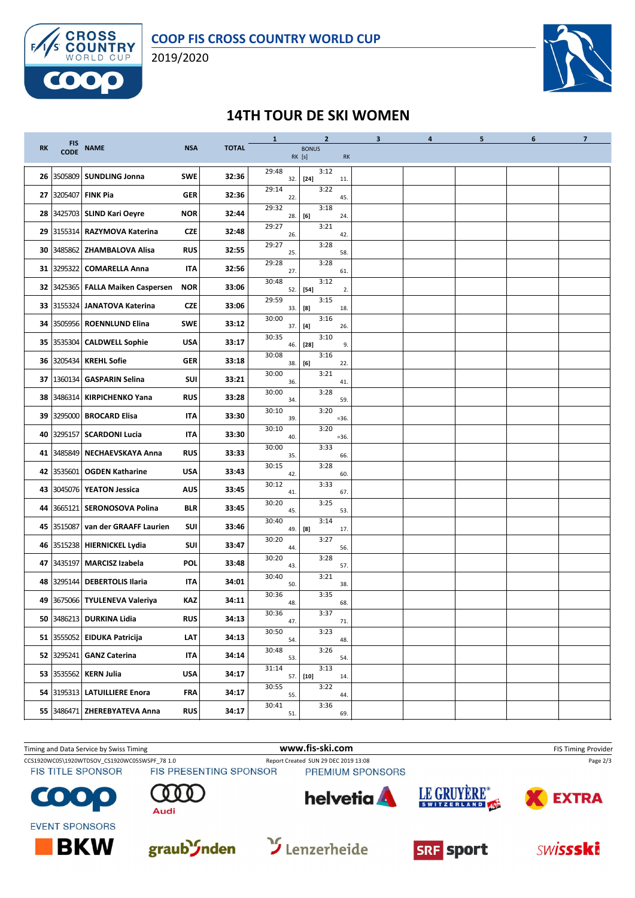

2019/2020



## **14TH TOUR DE SKI WOMEN**

|           |             |                               |            |              | $\mathbf{1}$ | $\mathbf{2}$           |           | $\overline{\mathbf{3}}$ | $\overline{4}$ | 5 | 6 | $\overline{7}$ |
|-----------|-------------|-------------------------------|------------|--------------|--------------|------------------------|-----------|-------------------------|----------------|---|---|----------------|
| <b>RK</b> | FIS<br>CODE | <b>NAME</b>                   | <b>NSA</b> | <b>TOTAL</b> |              | <b>BONUS</b><br>RK [s] | <b>RK</b> |                         |                |   |   |                |
| 26        | 3505809     | <b>SUNDLING Jonna</b>         | <b>SWE</b> | 32:36        | 29:48<br>32. | 3:12<br>$[24]$         | 11.       |                         |                |   |   |                |
| 27        | 3205407     | <b>FINK Pia</b>               | <b>GER</b> | 32:36        | 29:14<br>22. | 3:22                   | 45.       |                         |                |   |   |                |
| 28        |             | 3425703 SLIND Kari Oeyre      | <b>NOR</b> | 32:44        | 29:32<br>28. | 3:18<br>[6]            | 24.       |                         |                |   |   |                |
| 29        |             | 3155314 RAZYMOVA Katerina     | <b>CZE</b> | 32:48        | 29:27<br>26. | 3:21                   | 42.       |                         |                |   |   |                |
| 30        | 3485862     | <b>ZHAMBALOVA Alisa</b>       | <b>RUS</b> | 32:55        | 29:27<br>25. | 3:28                   | 58.       |                         |                |   |   |                |
| 31        | 3295322     | <b>COMARELLA Anna</b>         | IΤΑ        | 32:56        | 29:28<br>27. | 3:28                   | 61.       |                         |                |   |   |                |
| 32        | 3425365     | <b>FALLA Maiken Caspersen</b> | <b>NOR</b> | 33:06        | 30:48<br>52. | 3:12<br>$[54]$         | 2.        |                         |                |   |   |                |
| 33        |             | 3155324 JANATOVA Katerina     | <b>CZE</b> | 33:06        | 29:59<br>33. | 3:15<br>[8]            | 18.       |                         |                |   |   |                |
| 34        | 3505956     | <b>ROENNLUND Elina</b>        | <b>SWE</b> | 33:12        | 30:00<br>37. | 3:16                   | 26.       |                         |                |   |   |                |
| 35        |             | 3535304 CALDWELL Sophie       | <b>USA</b> | 33:17        | 30:35<br>46. | 3:10<br>$[28]$         | 9.        |                         |                |   |   |                |
| 36        |             | 3205434 KREHL Sofie           | <b>GER</b> | 33:18        | 30:08<br>38. | 3:16<br>[6]            | 22.       |                         |                |   |   |                |
| 37        | 1360134     | <b>GASPARIN Selina</b>        | <b>SUI</b> | 33:21        | 30:00<br>36. | 3:21                   | 41        |                         |                |   |   |                |
| 38        | 3486314     | <b>KIRPICHENKO Yana</b>       | <b>RUS</b> | 33:28        | 30:00<br>34. | 3:28                   | 59.       |                         |                |   |   |                |
| 39        | 3295000     | <b>BROCARD Elisa</b>          | IΤΑ        | 33:30        | 30:10<br>39. | 3:20                   | $= 36.$   |                         |                |   |   |                |
| 40        | 3295157     | <b>SCARDONI Lucia</b>         | IΤΑ        | 33:30        | 30:10<br>40. | 3:20                   | $= 36.$   |                         |                |   |   |                |
| 41        | 3485849     | <b>NECHAEVSKAYA Anna</b>      | <b>RUS</b> | 33:33        | 30:00<br>35. | 3:33                   | 66.       |                         |                |   |   |                |
| 42        | 3535601     | <b>OGDEN Katharine</b>        | <b>USA</b> | 33:43        | 30:15<br>42. | 3:28                   | 60        |                         |                |   |   |                |
| 43        | 3045076     | <b>YEATON Jessica</b>         | <b>AUS</b> | 33:45        | 30:12<br>41. | 3:33                   | 67        |                         |                |   |   |                |
| 44        | 3665121     | <b>SERONOSOVA Polina</b>      | <b>BLR</b> | 33:45        | 30:20<br>45. | 3:25                   | 53.       |                         |                |   |   |                |
| 45        | 3515087     | van der GRAAFF Laurien        | SUI        | 33:46        | 30:40<br>49. | 3:14<br>[8]            | 17.       |                         |                |   |   |                |
| 46        | 3515238     | <b>HIERNICKEL Lydia</b>       | <b>SUI</b> | 33:47        | 30:20<br>44. | 3:27                   | 56.       |                         |                |   |   |                |
| 47        | 3435197     | <b>MARCISZ Izabela</b>        | <b>POL</b> | 33:48        | 30:20<br>43. | 3:28                   | 57.       |                         |                |   |   |                |
| 48        | 3295144     | <b>DEBERTOLIS Ilaria</b>      | IΤΑ        | 34:01        | 30:40<br>50. | 3:21                   | 38.       |                         |                |   |   |                |
| 49        |             | 3675066 TYULENEVA Valeriya    | KAZ        | 34:11        | 30:36<br>48. | 3:35                   | 68.       |                         |                |   |   |                |
| 50        |             | 3486213 DURKINA Lidia         | <b>RUS</b> | 34:13        | 30:36<br>47. | 3:37                   | 71.       |                         |                |   |   |                |
|           |             | 51 3555052 EIDUKA Patricija   | LЛТ        | 34:13        | 30:50<br>54. | 3:23                   | 48.       |                         |                |   |   |                |
|           |             | 52 3295241 GANZ Caterina      | <b>ITA</b> | 34:14        | 30:48<br>53. | 3:26                   | 54.       |                         |                |   |   |                |
| 53        |             | 3535562 KERN Julia            | USA        | 34:17        | 31:14<br>57. | 3:13<br>$[10]$         | 14.       |                         |                |   |   |                |
|           |             | 54 3195313 LATUILLIERE Enora  | <b>FRA</b> | 34:17        | 30:55<br>55. | 3:22                   | 44.       |                         |                |   |   |                |
|           |             | 55 3486471 ZHEREBYATEVA Anna  | <b>RUS</b> | 34:17        | 30:41<br>51. | 3:36                   | 69.       |                         |                |   |   |                |